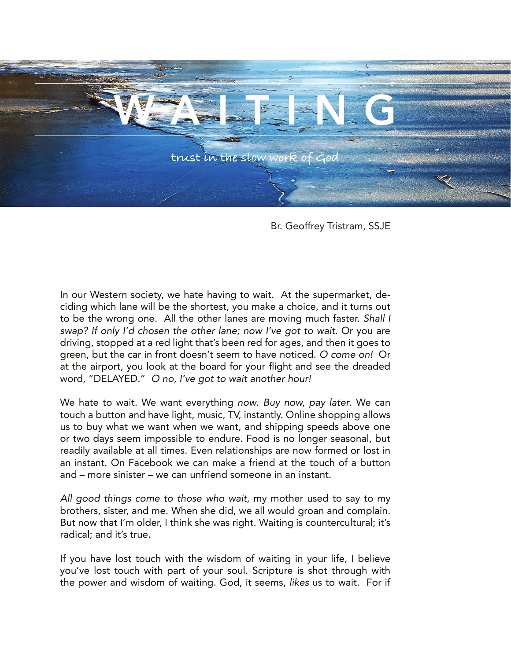

Br. Geoffrey Tristram, SSJE

In our Western society, we hate having to wait. At the supermarket, deciding which lane will be the shortest, you make a choice, and it turns out to be the wrong one. All the other lanes are moving much faster. *Shall I swap? If only I'd chosen the other lane; now I've got to wait.* Or you are driving, stopped at a red light that's been red for ages, and then it goes to green, but the car in front doesn't seem to have noticed. *O come on!* Or at the airport, you look at the board for your flight and see the dreaded word, "DELAYED." *O no, I've got to wait another hour!*

We hate to wait. We want everything *now*. *Buy now, pay later*. We can touch a button and have light, music, TV, instantly. Online shopping allows us to buy what we want when we want, and shipping speeds above one or two days seem impossible to endure. Food is no longer seasonal, but readily available at all times. Even relationships are now formed or lost in an instant. On Facebook we can make a friend at the touch of a button and – more sinister – we can unfriend someone in an instant.

*All good things come to those who wait*, my mother used to say to my brothers, sister, and me. When she did, we all would groan and complain. But now that I'm older, I think she was right. Waiting is countercultural; it's radical; and it's true.

If you have lost touch with the wisdom of waiting in your life, I believe you've lost touch with part of your soul. Scripture is shot through with the power and wisdom of waiting. God, it seems, *likes* us to wait. For if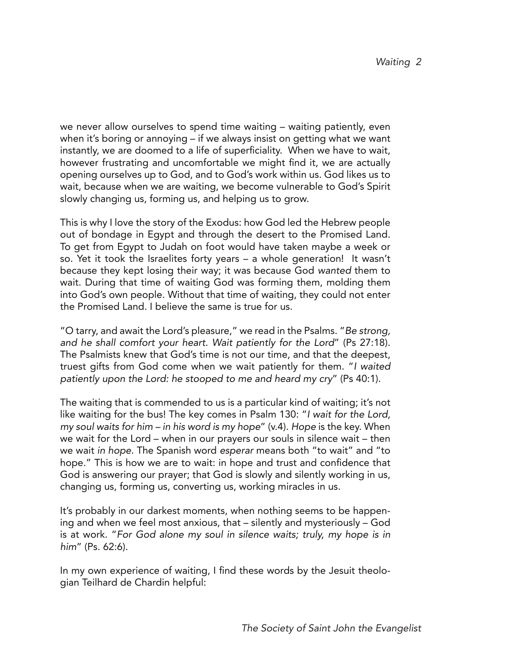we never allow ourselves to spend time waiting – waiting patiently, even when it's boring or annoying – if we always insist on getting what we want instantly, we are doomed to a life of superficiality. When we have to wait, however frustrating and uncomfortable we might find it, we are actually opening ourselves up to God, and to God's work within us. God likes us to wait, because when we are waiting, we become vulnerable to God's Spirit slowly changing us, forming us, and helping us to grow.

This is why I love the story of the Exodus: how God led the Hebrew people out of bondage in Egypt and through the desert to the Promised Land. To get from Egypt to Judah on foot would have taken maybe a week or so. Yet it took the Israelites forty years – a whole generation! It wasn't because they kept losing their way; it was because God *wanted* them to wait. During that time of waiting God was forming them, molding them into God's own people. Without that time of waiting, they could not enter the Promised Land. I believe the same is true for us.

"O tarry, and await the Lord's pleasure," we read in the Psalms. "*Be strong, and he shall comfort your heart. Wait patiently for the Lord*" (Ps 27:18). The Psalmists knew that God's time is not our time, and that the deepest, truest gifts from God come when we wait patiently for them. "*I waited patiently upon the Lord: he stooped to me and heard my cry*" (Ps 40:1).

The waiting that is commended to us is a particular kind of waiting; it's not like waiting for the bus! The key comes in Psalm 130: "*I wait for the Lord, my soul waits for him – in his word is my hope*" (v.4). *Hope* is the key. When we wait for the Lord – when in our prayers our souls in silence wait – then we wait *in hope*. The Spanish word *esperar* means both "to wait" and "to hope." This is how we are to wait: in hope and trust and confidence that God is answering our prayer; that God is slowly and silently working in us, changing us, forming us, converting us, working miracles in us.

It's probably in our darkest moments, when nothing seems to be happening and when we feel most anxious, that – silently and mysteriously – God is at work. "*For God alone my soul in silence waits; truly, my hope is in him*" (Ps. 62:6).

In my own experience of waiting, I find these words by the Jesuit theologian Teilhard de Chardin helpful: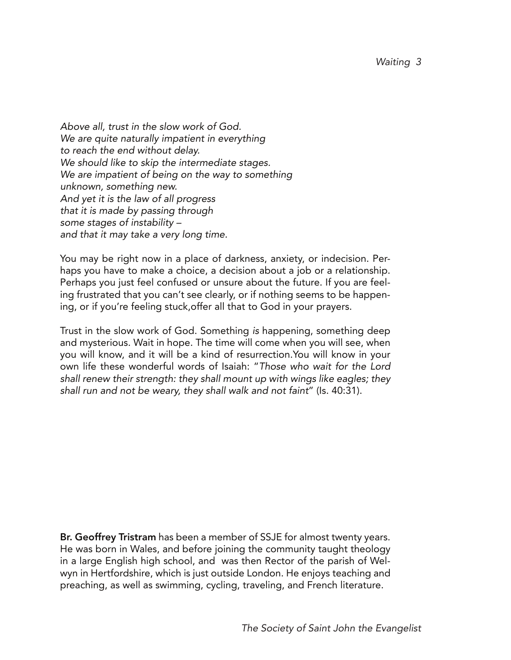*Above all, trust in the slow work of God. We are quite naturally impatient in everything to reach the end without delay. We should like to skip the intermediate stages. We are impatient of being on the way to something unknown, something new. And yet it is the law of all progress that it is made by passing through some stages of instability – and that it may take a very long time.*

You may be right now in a place of darkness, anxiety, or indecision. Perhaps you have to make a choice, a decision about a job or a relationship. Perhaps you just feel confused or unsure about the future. If you are feeling frustrated that you can't see clearly, or if nothing seems to be happening, or if you're feeling stuck,offer all that to God in your prayers.

Trust in the slow work of God. Something *is* happening, something deep and mysterious. Wait in hope. The time will come when you will see, when you will know, and it will be a kind of resurrection.You will know in your own life these wonderful words of Isaiah: "*Those who wait for the Lord shall renew their strength: they shall mount up with wings like eagles; they shall run and not be weary, they shall walk and not faint*" (Is. 40:31).

Br. Geoffrey Tristram has been a member of SSJE for almost twenty years. He was born in Wales, and before joining the community taught theology in a large English high school, and was then Rector of the parish of Welwyn in Hertfordshire, which is just outside London. He enjoys teaching and preaching, as well as swimming, cycling, traveling, and French literature.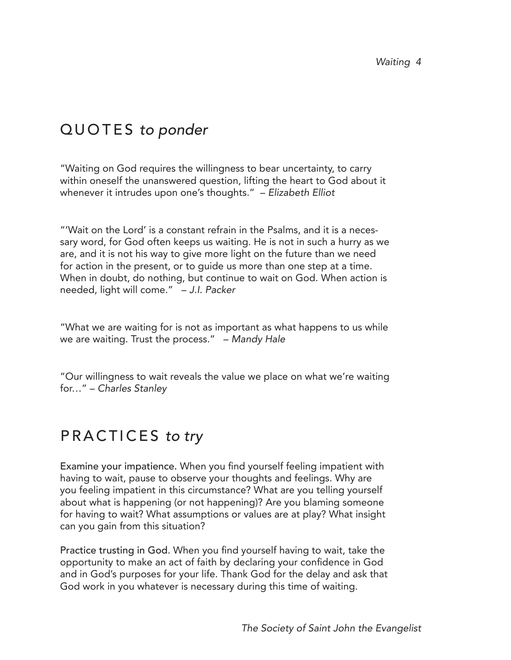# QUOTES *to ponder*

"Waiting on God requires the willingness to bear uncertainty, to carry within oneself the unanswered question, lifting the heart to God about it whenever it intrudes upon one's thoughts." – *Elizabeth Elliot*

"'Wait on the Lord' is a constant refrain in the Psalms, and it is a necessary word, for God often keeps us waiting. He is not in such a hurry as we are, and it is not his way to give more light on the future than we need for action in the present, or to guide us more than one step at a time. When in doubt, do nothing, but continue to wait on God. When action is needed, light will come." – *J.I. Packer*

"What we are waiting for is not as important as what happens to us while we are waiting. Trust the process." – *Mandy Hale*

"Our willingness to wait reveals the value we place on what we're waiting for…" – *Charles Stanley*

# PRACTICES *to try*

Examine your impatience. When you find yourself feeling impatient with having to wait, pause to observe your thoughts and feelings. Why are you feeling impatient in this circumstance? What are you telling yourself about what is happening (or not happening)? Are you blaming someone for having to wait? What assumptions or values are at play? What insight can you gain from this situation?

Practice trusting in God. When you find yourself having to wait, take the opportunity to make an act of faith by declaring your confidence in God and in God's purposes for your life. Thank God for the delay and ask that God work in you whatever is necessary during this time of waiting.